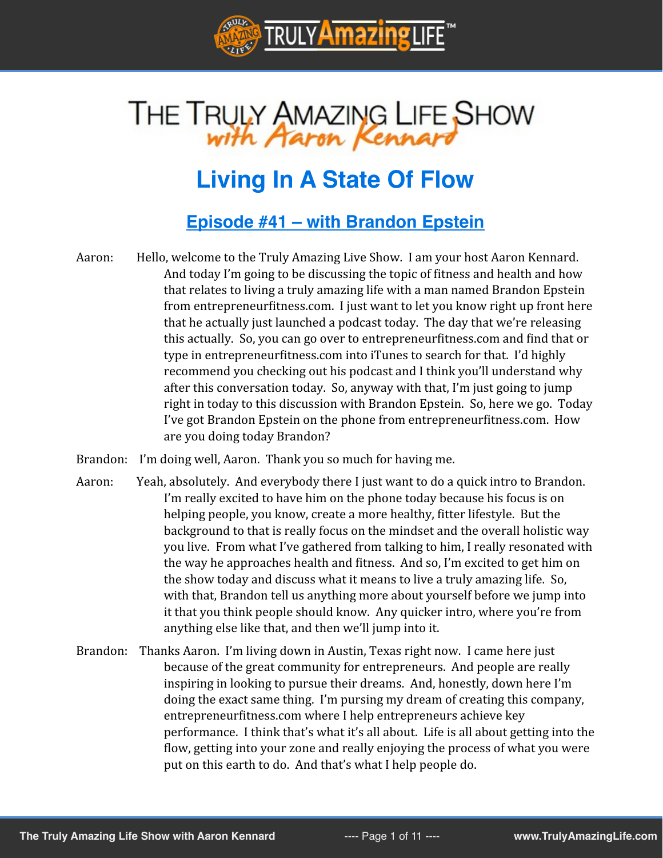

# THE TRULY AMAZING LIFE SHOW

# **Living In A State Of Flow**

### **[Episode #41 – with Brandon Epstein](http://trulyamazinglife.com/episode41)**

- Aaron: Hello, welcome to the Truly Amazing Live Show. I am your host Aaron Kennard. And today I'm going to be discussing the topic of fitness and health and how that relates to living a truly amazing life with a man named Brandon Epstein from entrepreneurfitness.com. I just want to let you know right up front here that he actually just launched a podcast today. The day that we're releasing this actually. So, you can go over to entrepreneurfitness.com and find that or type in entrepreneurfitness.com into iTunes to search for that. I'd highly recommend you checking out his podcast and I think you'll understand why after this conversation today. So, anyway with that, I'm just going to jump right in today to this discussion with Brandon Epstein. So, here we go. Today I've got Brandon Epstein on the phone from entrepreneurfitness.com. How are you doing today Brandon?
- Brandon: I'm doing well, Aaron. Thank you so much for having me.
- Aaron: Yeah, absolutely. And everybody there I just want to do a quick intro to Brandon. I'm really excited to have him on the phone today because his focus is on helping people, you know, create a more healthy, fitter lifestyle. But the background to that is really focus on the mindset and the overall holistic way you live. From what I've gathered from talking to him, I really resonated with the way he approaches health and fitness. And so, I'm excited to get him on the show today and discuss what it means to live a truly amazing life. So, with that, Brandon tell us anything more about yourself before we jump into it that you think people should know. Any quicker intro, where you're from anything else like that, and then we'll jump into it.
- Brandon: Thanks Aaron. I'm living down in Austin, Texas right now. I came here just because of the great community for entrepreneurs. And people are really inspiring in looking to pursue their dreams. And, honestly, down here I'm doing the exact same thing. I'm pursing my dream of creating this company, entrepreneurfitness.com where I help entrepreneurs achieve key performance. I think that's what it's all about. Life is all about getting into the flow, getting into your zone and really enjoying the process of what you were put on this earth to do. And that's what I help people do.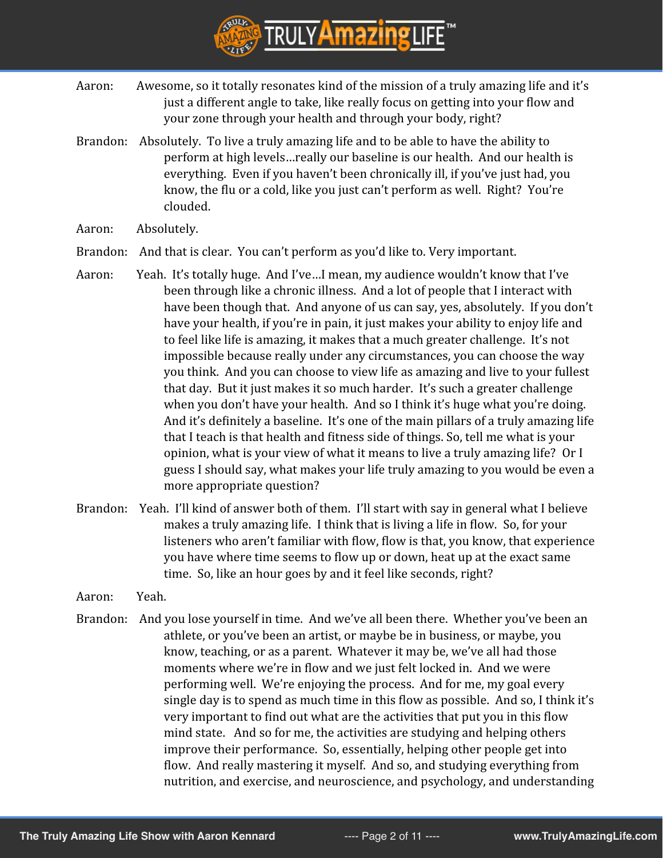

- Aaron: Awesome, so it totally resonates kind of the mission of a truly amazing life and it's just a different angle to take, like really focus on getting into your flow and your zone through your health and through your body, right?
- Brandon: Absolutely. To live a truly amazing life and to be able to have the ability to perform at high levels…really our baseline is our health. And our health is everything. Even if you haven't been chronically ill, if you've just had, you know, the flu or a cold, like you just can't perform as well. Right? You're clouded.
- Aaron: Absolutely.
- Brandon: And that is clear. You can't perform as you'd like to. Very important.
- Aaron: Yeah. It's totally huge. And I've…I mean, my audience wouldn't know that I've been through like a chronic illness. And a lot of people that I interact with have been though that. And anyone of us can say, yes, absolutely. If you don't have your health, if you're in pain, it just makes your ability to enjoy life and to feel like life is amazing, it makes that a much greater challenge. It's not impossible because really under any circumstances, you can choose the way you think. And you can choose to view life as amazing and live to your fullest that day. But it just makes it so much harder. It's such a greater challenge when you don't have your health. And so I think it's huge what you're doing. And it's definitely a baseline. It's one of the main pillars of a truly amazing life that I teach is that health and fitness side of things. So, tell me what is your opinion, what is your view of what it means to live a truly amazing life? Or I guess I should say, what makes your life truly amazing to you would be even a more appropriate question?
- Brandon: Yeah. I'll kind of answer both of them. I'll start with say in general what I believe makes a truly amazing life. I think that is living a life in flow. So, for your listeners who aren't familiar with flow, flow is that, you know, that experience you have where time seems to flow up or down, heat up at the exact same time. So, like an hour goes by and it feel like seconds, right?
- Aaron: Yeah.
- Brandon: And you lose yourself in time. And we've all been there. Whether you've been an athlete, or you've been an artist, or maybe be in business, or maybe, you know, teaching, or as a parent. Whatever it may be, we've all had those moments where we're in flow and we just felt locked in. And we were performing well. We're enjoying the process. And for me, my goal every single day is to spend as much time in this flow as possible. And so, I think it's very important to find out what are the activities that put you in this flow mind state. And so for me, the activities are studying and helping others improve their performance. So, essentially, helping other people get into flow. And really mastering it myself. And so, and studying everything from nutrition, and exercise, and neuroscience, and psychology, and understanding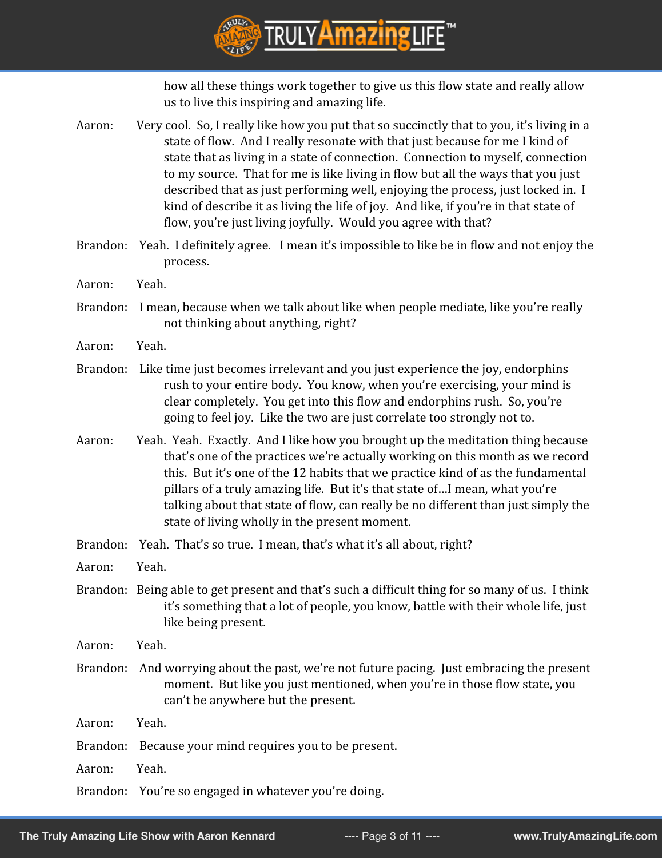

how all these things work together to give us this flow state and really allow us to live this inspiring and amazing life.

Aaron: Very cool. So, I really like how you put that so succinctly that to you, it's living in a state of flow. And I really resonate with that just because for me I kind of state that as living in a state of connection. Connection to myself, connection to my source. That for me is like living in flow but all the ways that you just described that as just performing well, enjoying the process, just locked in. I kind of describe it as living the life of joy. And like, if you're in that state of flow, you're just living joyfully. Would you agree with that? Brandon: Yeah. I definitely agree. I mean it's impossible to like be in flow and not enjoy the process. Aaron: Yeah. Brandon: I mean, because when we talk about like when people mediate, like you're really not thinking about anything, right? Aaron: Yeah. Brandon: Like time just becomes irrelevant and you just experience the joy, endorphins rush to your entire body. You know, when you're exercising, your mind is clear completely. You get into this flow and endorphins rush. So, you're going to feel joy. Like the two are just correlate too strongly not to. Aaron: Yeah. Yeah. Exactly. And I like how you brought up the meditation thing because that's one of the practices we're actually working on this month as we record this. But it's one of the 12 habits that we practice kind of as the fundamental pillars of a truly amazing life. But it's that state of…I mean, what you're talking about that state of flow, can really be no different than just simply the state of living wholly in the present moment. Brandon: Yeah. That's so true. I mean, that's what it's all about, right? Aaron: Yeah. Brandon: Being able to get present and that's such a difficult thing for so many of us. I think it's something that a lot of people, you know, battle with their whole life, just like being present. Aaron: Yeah. Brandon: And worrying about the past, we're not future pacing. Just embracing the present moment. But like you just mentioned, when you're in those flow state, you can't be anywhere but the present. Aaron: Yeah. Brandon: Because your mind requires you to be present. Aaron: Yeah. Brandon: You're so engaged in whatever you're doing.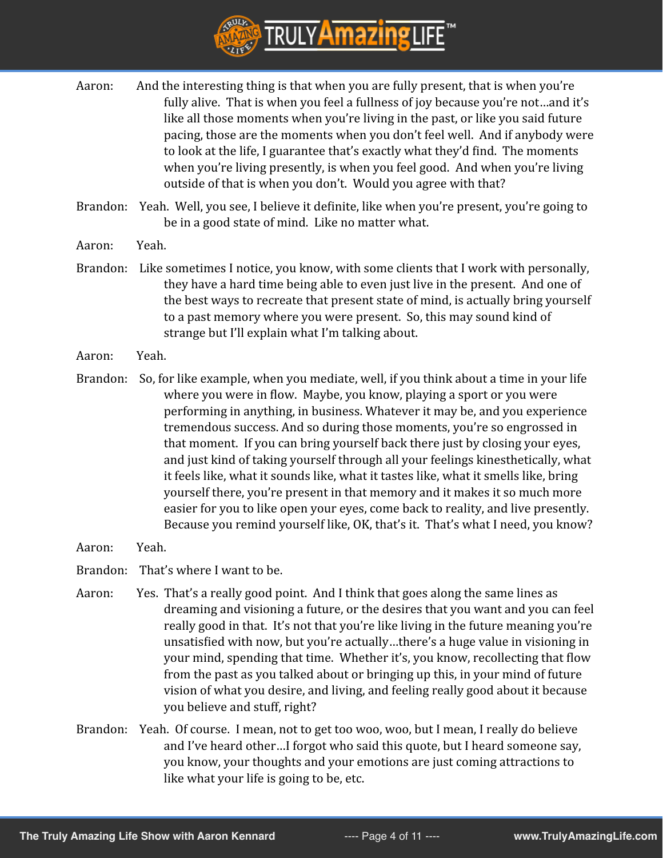

- Aaron: And the interesting thing is that when you are fully present, that is when you're fully alive. That is when you feel a fullness of joy because you're not…and it's like all those moments when you're living in the past, or like you said future pacing, those are the moments when you don't feel well. And if anybody were to look at the life, I guarantee that's exactly what they'd find. The moments when you're living presently, is when you feel good. And when you're living outside of that is when you don't. Would you agree with that?
- Brandon: Yeah. Well, you see, I believe it definite, like when you're present, you're going to be in a good state of mind. Like no matter what.
- Aaron: Yeah.
- Brandon: Like sometimes I notice, you know, with some clients that I work with personally, they have a hard time being able to even just live in the present. And one of the best ways to recreate that present state of mind, is actually bring yourself to a past memory where you were present. So, this may sound kind of strange but I'll explain what I'm talking about.
- Aaron: Yeah.
- Brandon: So, for like example, when you mediate, well, if you think about a time in your life where you were in flow. Maybe, you know, playing a sport or you were performing in anything, in business. Whatever it may be, and you experience tremendous success. And so during those moments, you're so engrossed in that moment. If you can bring yourself back there just by closing your eyes, and just kind of taking yourself through all your feelings kinesthetically, what it feels like, what it sounds like, what it tastes like, what it smells like, bring yourself there, you're present in that memory and it makes it so much more easier for you to like open your eyes, come back to reality, and live presently. Because you remind yourself like, OK, that's it. That's what I need, you know?
- Aaron: Yeah.
- Brandon: That's where I want to be.
- Aaron: Yes. That's a really good point. And I think that goes along the same lines as dreaming and visioning a future, or the desires that you want and you can feel really good in that. It's not that you're like living in the future meaning you're unsatisfied with now, but you're actually…there's a huge value in visioning in your mind, spending that time. Whether it's, you know, recollecting that flow from the past as you talked about or bringing up this, in your mind of future vision of what you desire, and living, and feeling really good about it because you believe and stuff, right?
- Brandon: Yeah. Of course. I mean, not to get too woo, woo, but I mean, I really do believe and I've heard other…I forgot who said this quote, but I heard someone say, you know, your thoughts and your emotions are just coming attractions to like what your life is going to be, etc.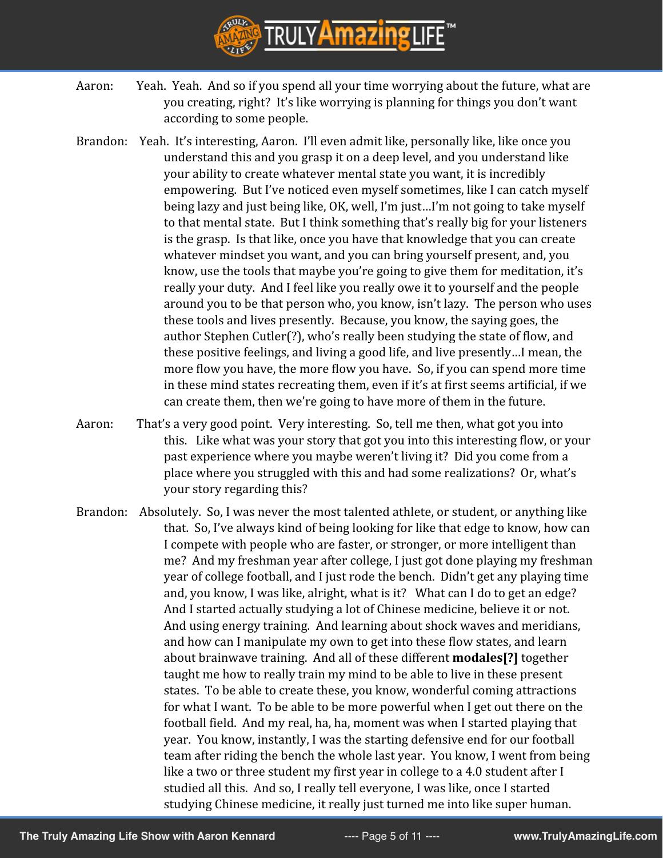

- Aaron: Yeah. Yeah. And so if you spend all your time worrying about the future, what are you creating, right? It's like worrying is planning for things you don't want according to some people.
- Brandon: Yeah. It's interesting, Aaron. I'll even admit like, personally like, like once you understand this and you grasp it on a deep level, and you understand like your ability to create whatever mental state you want, it is incredibly empowering. But I've noticed even myself sometimes, like I can catch myself being lazy and just being like, OK, well, I'm just…I'm not going to take myself to that mental state. But I think something that's really big for your listeners is the grasp. Is that like, once you have that knowledge that you can create whatever mindset you want, and you can bring yourself present, and, you know, use the tools that maybe you're going to give them for meditation, it's really your duty. And I feel like you really owe it to yourself and the people around you to be that person who, you know, isn't lazy. The person who uses these tools and lives presently. Because, you know, the saying goes, the author Stephen Cutler(?), who's really been studying the state of flow, and these positive feelings, and living a good life, and live presently…I mean, the more flow you have, the more flow you have. So, if you can spend more time in these mind states recreating them, even if it's at first seems artificial, if we can create them, then we're going to have more of them in the future.
- Aaron: That's a very good point. Very interesting. So, tell me then, what got you into this. Like what was your story that got you into this interesting flow, or your past experience where you maybe weren't living it? Did you come from a place where you struggled with this and had some realizations? Or, what's your story regarding this?
- Brandon: Absolutely. So, I was never the most talented athlete, or student, or anything like that. So, I've always kind of being looking for like that edge to know, how can I compete with people who are faster, or stronger, or more intelligent than me? And my freshman year after college, I just got done playing my freshman year of college football, and I just rode the bench. Didn't get any playing time and, you know, I was like, alright, what is it? What can I do to get an edge? And I started actually studying a lot of Chinese medicine, believe it or not. And using energy training. And learning about shock waves and meridians, and how can I manipulate my own to get into these flow states, and learn about brainwave training. And all of these different **modales[?]** together taught me how to really train my mind to be able to live in these present states. To be able to create these, you know, wonderful coming attractions for what I want. To be able to be more powerful when I get out there on the football field. And my real, ha, ha, moment was when I started playing that year. You know, instantly, I was the starting defensive end for our football team after riding the bench the whole last year. You know, I went from being like a two or three student my first year in college to a 4.0 student after I studied all this. And so, I really tell everyone, I was like, once I started studying Chinese medicine, it really just turned me into like super human.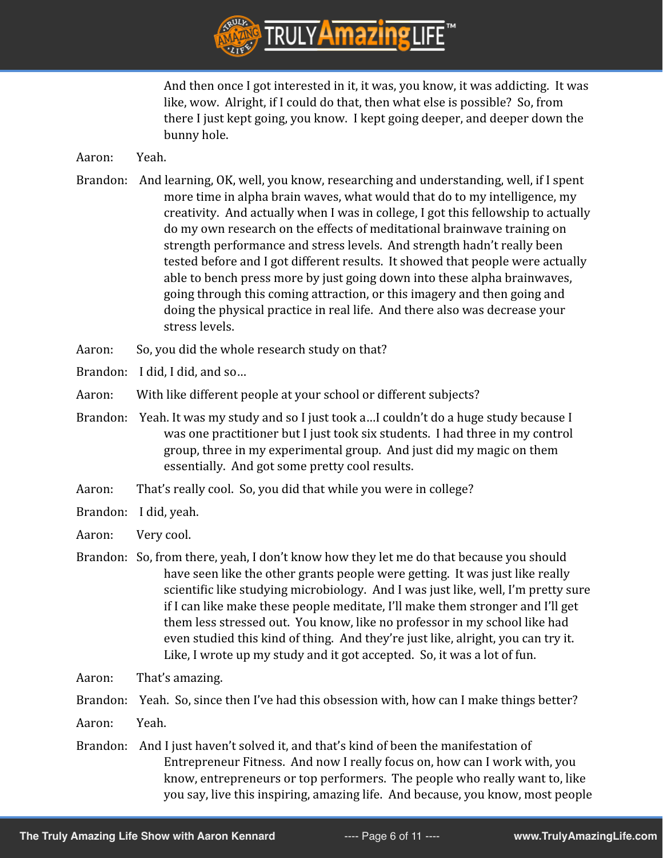

And then once I got interested in it, it was, you know, it was addicting. It was like, wow. Alright, if I could do that, then what else is possible? So, from there I just kept going, you know. I kept going deeper, and deeper down the bunny hole.

#### Aaron: Yeah.

- Brandon: And learning, OK, well, you know, researching and understanding, well, if I spent more time in alpha brain waves, what would that do to my intelligence, my creativity. And actually when I was in college, I got this fellowship to actually do my own research on the effects of meditational brainwave training on strength performance and stress levels. And strength hadn't really been tested before and I got different results. It showed that people were actually able to bench press more by just going down into these alpha brainwaves, going through this coming attraction, or this imagery and then going and doing the physical practice in real life. And there also was decrease your stress levels.
- Aaron: So, you did the whole research study on that?
- Brandon: I did, I did, and so…
- Aaron: With like different people at your school or different subjects?
- Brandon: Yeah. It was my study and so I just took a…I couldn't do a huge study because I was one practitioner but I just took six students. I had three in my control group, three in my experimental group. And just did my magic on them essentially. And got some pretty cool results.
- Aaron: That's really cool. So, you did that while you were in college?
- Brandon: I did, yeah.
- Aaron: Very cool.
- Brandon: So, from there, yeah, I don't know how they let me do that because you should have seen like the other grants people were getting. It was just like really scientific like studying microbiology. And I was just like, well, I'm pretty sure if I can like make these people meditate, I'll make them stronger and I'll get them less stressed out. You know, like no professor in my school like had even studied this kind of thing. And they're just like, alright, you can try it. Like, I wrote up my study and it got accepted. So, it was a lot of fun.
- Aaron: That's amazing.

Brandon: Yeah. So, since then I've had this obsession with, how can I make things better?

- Aaron: Yeah.
- Brandon: And I just haven't solved it, and that's kind of been the manifestation of Entrepreneur Fitness. And now I really focus on, how can I work with, you know, entrepreneurs or top performers. The people who really want to, like you say, live this inspiring, amazing life. And because, you know, most people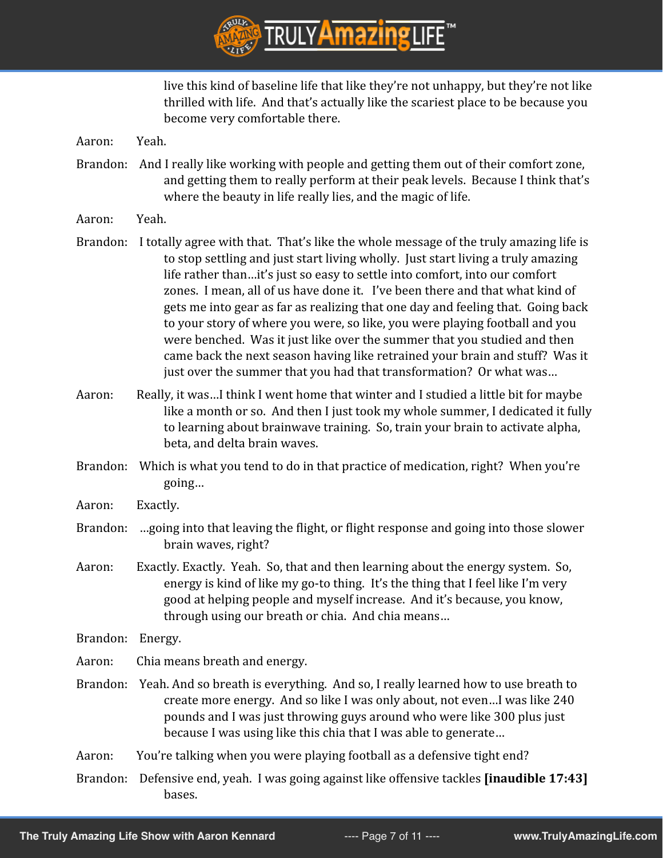

live this kind of baseline life that like they're not unhappy, but they're not like thrilled with life. And that's actually like the scariest place to be because you become very comfortable there.

Aaron: Yeah.

- Brandon: And I really like working with people and getting them out of their comfort zone, and getting them to really perform at their peak levels. Because I think that's where the beauty in life really lies, and the magic of life.
- Aaron: Yeah.
- Brandon: I totally agree with that. That's like the whole message of the truly amazing life is to stop settling and just start living wholly. Just start living a truly amazing life rather than…it's just so easy to settle into comfort, into our comfort zones. I mean, all of us have done it. I've been there and that what kind of gets me into gear as far as realizing that one day and feeling that. Going back to your story of where you were, so like, you were playing football and you were benched. Was it just like over the summer that you studied and then came back the next season having like retrained your brain and stuff? Was it just over the summer that you had that transformation? Or what was…
- Aaron: Really, it was…I think I went home that winter and I studied a little bit for maybe like a month or so. And then I just took my whole summer, I dedicated it fully to learning about brainwave training. So, train your brain to activate alpha, beta, and delta brain waves.
- Brandon: Which is what you tend to do in that practice of medication, right? When you're going…
- Aaron: Exactly.
- Brandon: …going into that leaving the flight, or flight response and going into those slower brain waves, right?
- Aaron: Exactly. Exactly. Yeah. So, that and then learning about the energy system. So, energy is kind of like my go-to thing. It's the thing that I feel like I'm very good at helping people and myself increase. And it's because, you know, through using our breath or chia. And chia means…
- Brandon: Energy.
- Aaron: Chia means breath and energy.
- Brandon: Yeah. And so breath is everything. And so, I really learned how to use breath to create more energy. And so like I was only about, not even…I was like 240 pounds and I was just throwing guys around who were like 300 plus just because I was using like this chia that I was able to generate…
- Aaron: You're talking when you were playing football as a defensive tight end?
- Brandon: Defensive end, yeah. I was going against like offensive tackles **[inaudible 17:43]** bases.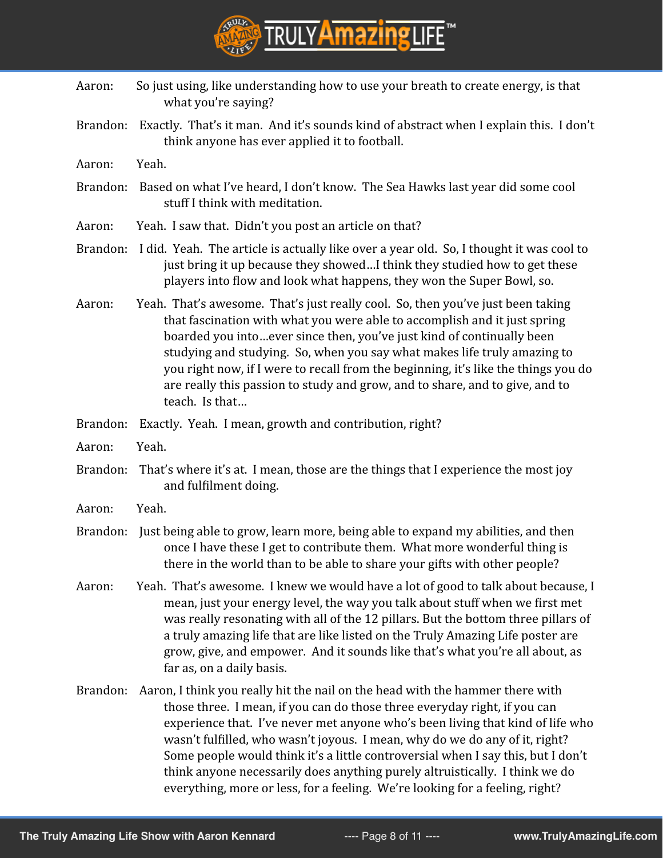

- Aaron: So just using, like understanding how to use your breath to create energy, is that what you're saying?
- Brandon: Exactly. That's it man. And it's sounds kind of abstract when I explain this. I don't think anyone has ever applied it to football.
- Aaron: Yeah.
- Brandon: Based on what I've heard, I don't know. The Sea Hawks last year did some cool stuff I think with meditation.
- Aaron: Yeah. I saw that. Didn't you post an article on that?
- Brandon: I did. Yeah. The article is actually like over a year old. So, I thought it was cool to just bring it up because they showed…I think they studied how to get these players into flow and look what happens, they won the Super Bowl, so.
- Aaron: Yeah. That's awesome. That's just really cool. So, then you've just been taking that fascination with what you were able to accomplish and it just spring boarded you into…ever since then, you've just kind of continually been studying and studying. So, when you say what makes life truly amazing to you right now, if I were to recall from the beginning, it's like the things you do are really this passion to study and grow, and to share, and to give, and to teach. Is that…
- Brandon: Exactly. Yeah. I mean, growth and contribution, right?
- Aaron: Yeah.
- Brandon: That's where it's at. I mean, those are the things that I experience the most joy and fulfilment doing.
- Aaron: Yeah.
- Brandon: Just being able to grow, learn more, being able to expand my abilities, and then once I have these I get to contribute them. What more wonderful thing is there in the world than to be able to share your gifts with other people?
- Aaron: Yeah. That's awesome. I knew we would have a lot of good to talk about because, I mean, just your energy level, the way you talk about stuff when we first met was really resonating with all of the 12 pillars. But the bottom three pillars of a truly amazing life that are like listed on the Truly Amazing Life poster are grow, give, and empower. And it sounds like that's what you're all about, as far as, on a daily basis.
- Brandon: Aaron, I think you really hit the nail on the head with the hammer there with those three. I mean, if you can do those three everyday right, if you can experience that. I've never met anyone who's been living that kind of life who wasn't fulfilled, who wasn't joyous. I mean, why do we do any of it, right? Some people would think it's a little controversial when I say this, but I don't think anyone necessarily does anything purely altruistically. I think we do everything, more or less, for a feeling. We're looking for a feeling, right?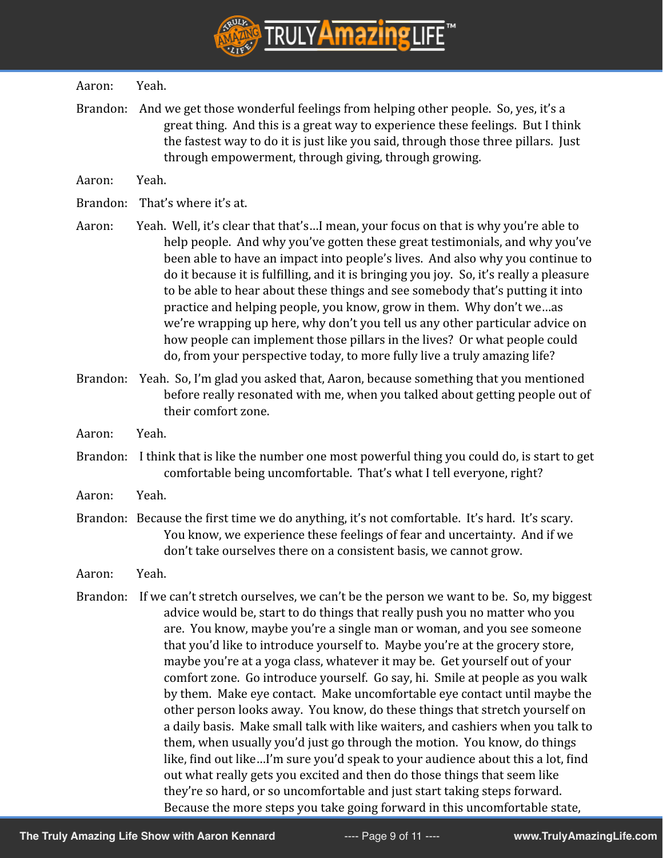

#### Aaron: Yeah.

- Brandon: And we get those wonderful feelings from helping other people. So, yes, it's a great thing. And this is a great way to experience these feelings. But I think the fastest way to do it is just like you said, through those three pillars. Just through empowerment, through giving, through growing.
- Aaron: Yeah.
- Brandon: That's where it's at.
- Aaron: Yeah. Well, it's clear that that's…I mean, your focus on that is why you're able to help people. And why you've gotten these great testimonials, and why you've been able to have an impact into people's lives. And also why you continue to do it because it is fulfilling, and it is bringing you joy. So, it's really a pleasure to be able to hear about these things and see somebody that's putting it into practice and helping people, you know, grow in them. Why don't we…as we're wrapping up here, why don't you tell us any other particular advice on how people can implement those pillars in the lives? Or what people could do, from your perspective today, to more fully live a truly amazing life?
- Brandon: Yeah. So, I'm glad you asked that, Aaron, because something that you mentioned before really resonated with me, when you talked about getting people out of their comfort zone.
- Aaron: Yeah.
- Brandon: I think that is like the number one most powerful thing you could do, is start to get comfortable being uncomfortable. That's what I tell everyone, right?
- Aaron: Yeah.
- Brandon: Because the first time we do anything, it's not comfortable. It's hard. It's scary. You know, we experience these feelings of fear and uncertainty. And if we don't take ourselves there on a consistent basis, we cannot grow.
- Aaron: Yeah.
- Brandon: If we can't stretch ourselves, we can't be the person we want to be. So, my biggest advice would be, start to do things that really push you no matter who you are. You know, maybe you're a single man or woman, and you see someone that you'd like to introduce yourself to. Maybe you're at the grocery store, maybe you're at a yoga class, whatever it may be. Get yourself out of your comfort zone. Go introduce yourself. Go say, hi. Smile at people as you walk by them. Make eye contact. Make uncomfortable eye contact until maybe the other person looks away. You know, do these things that stretch yourself on a daily basis. Make small talk with like waiters, and cashiers when you talk to them, when usually you'd just go through the motion. You know, do things like, find out like…I'm sure you'd speak to your audience about this a lot, find out what really gets you excited and then do those things that seem like they're so hard, or so uncomfortable and just start taking steps forward. Because the more steps you take going forward in this uncomfortable state,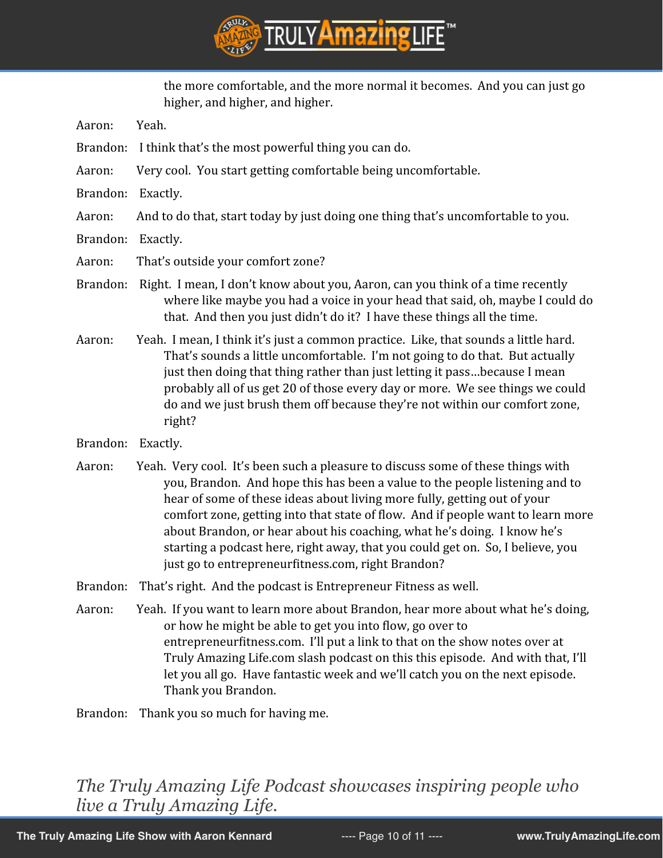

the more comfortable, and the more normal it becomes. And you can just go higher, and higher, and higher.

- Aaron: Yeah.
- Brandon: I think that's the most powerful thing you can do.
- Aaron: Very cool. You start getting comfortable being uncomfortable.
- Brandon: Exactly.
- Aaron: And to do that, start today by just doing one thing that's uncomfortable to you.
- Brandon: Exactly.
- Aaron: That's outside your comfort zone?
- Brandon: Right. I mean, I don't know about you, Aaron, can you think of a time recently where like maybe you had a voice in your head that said, oh, maybe I could do that. And then you just didn't do it? I have these things all the time.
- Aaron: Yeah. I mean, I think it's just a common practice. Like, that sounds a little hard. That's sounds a little uncomfortable. I'm not going to do that. But actually just then doing that thing rather than just letting it pass…because I mean probably all of us get 20 of those every day or more. We see things we could do and we just brush them off because they're not within our comfort zone, right?
- Brandon: Exactly.
- Aaron: Yeah. Very cool. It's been such a pleasure to discuss some of these things with you, Brandon. And hope this has been a value to the people listening and to hear of some of these ideas about living more fully, getting out of your comfort zone, getting into that state of flow. And if people want to learn more about Brandon, or hear about his coaching, what he's doing. I know he's starting a podcast here, right away, that you could get on. So, I believe, you just go to entrepreneurfitness.com, right Brandon?
- Brandon: That's right. And the podcast is Entrepreneur Fitness as well.
- Aaron: Yeah. If you want to learn more about Brandon, hear more about what he's doing, or how he might be able to get you into flow, go over to entrepreneurfitness.com. I'll put a link to that on the show notes over at Truly Amazing Life.com slash podcast on this this episode. And with that, I'll let you all go. Have fantastic week and we'll catch you on the next episode. Thank you Brandon.

Brandon: Thank you so much for having me.

## *The Truly Amazing Life Podcast showcases inspiring people who live a Truly Amazing Life.*